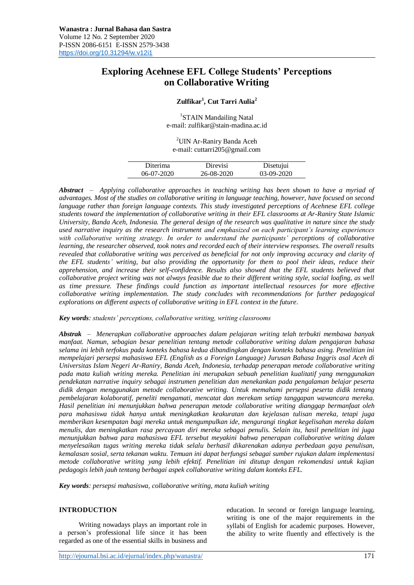# **Exploring Acehnese EFL College Students' Perceptions on Collaborative Writing**

## **Zulfikar<sup>1</sup> , Cut Tarri Aulia<sup>2</sup>**

<sup>1</sup>STAIN Mandailing Natal e-mail: zulfikar@stain-madina.ac.id

<sup>2</sup>UIN Ar-Raniry Banda Aceh e-mail: cuttarri205@gmail.com

| Diterima     | Direvisi   | Disetujui    |
|--------------|------------|--------------|
| $06-07-2020$ | 26-08-2020 | $03-09-2020$ |

*Abstract – Applying collaborative approaches in teaching writing has been shown to have a myriad of advantages. Most of the studies on collaborative writing in language teaching, however, have focused on second language rather than foreign language contexts. This study investigated perceptions of Acehnese EFL college students toward the implementation of collaborative writing in their EFL classrooms at Ar-Raniry State Islamic University, Banda Aceh, Indonesia. The general design of the research was qualitative in nature since the study used narrative inquiry as the research instrument and emphasized on each participant's learning experiences with collaborative writing strategy. In order to understand the participants' perceptions of collaborative learning, the researcher observed, took notes and recorded each of their interview responses. The overall results revealed that collaborative writing was perceived as beneficial for not only improving accuracy and clarity of the EFL students' writing, but also providing the opportunity for them to pool their ideas, reduce their apprehension, and increase their self-confidence. Results also showed that the EFL students believed that collaborative project writing was not always feasible due to their different writing style, social loafing, as well as time pressure. These findings could function as important intellectual resources for more effective collaborative writing implementation. The study concludes with recommendations for further pedagogical explorations on different aspects of collaborative writing in EFL context in the future.*

*Key words: students' perceptions, collaborative writing, writing classrooms*

*Abstrak – Menerapkan collaborative approaches dalam pelajaran writing telah terbukti membawa banyak manfaat. Namun, sebagian besar penelitian tentang metode collaborative writing dalam pengajaran bahasa selama ini lebih terfokus pada konteks bahasa kedua dibandingkan dengan konteks bahasa asing. Penelitian ini mempelajari persepsi mahasiswa EFL (English as a Foreign Language) Jurusan Bahasa Inggris asal Aceh di Universitas Islam Negeri Ar-Raniry, Banda Aceh, Indonesia, terhadap penerapan metode collaborative writing pada mata kuliah writing mereka. Penelitian ini merupakan sebuah penelitian kualitatif yang menggunakan pendekatan narrative inquiry sebagai instrumen penelitian dan menekankan pada pengalaman belajar peserta didik dengan menggunakan metode collaborative writing. Untuk memahami persepsi peserta didik tentang pembelajaran kolaboratif, peneliti mengamati, mencatat dan merekam setiap tanggapan wawancara mereka. Hasil penelitian ini menunjukkan bahwa penerapan metode collaborative writing dianggap bermanfaat oleh para mahasiswa tidak hanya untuk meningkatkan keakuratan dan kejelasan tulisan mereka, tetapi juga memberikan kesempatan bagi mereka untuk mengumpulkan ide, mengurangi tingkat kegelisahan mereka dalam menulis, dan meningkatkan rasa percayaan diri mereka sebagai penulis. Selain itu, hasil penelitian ini juga menunjukkan bahwa para mahasiswa EFL tersebut meyakini bahwa penerapan collaborative writing dalam menyelesaikan tugas writing mereka tidak selalu berhasil dikarenakan adanya perbedaan gaya penulisan, kemalasan sosial, serta tekanan waktu. Temuan ini dapat berfungsi sebagai sumber rujukan dalam implementasi metode collaborative writing yang lebih efektif. Penelitian ini ditutup dengan rekomendasi untuk kajian pedagogis lebih jauh tentang berbagai aspek collaborative writing dalam konteks EFL.*

*Key words: persepsi mahasiswa, collaborative writing, mata kuliah writing*

#### **INTRODUCTION**

Writing nowadays plays an important role in a person's professional life since it has been regarded as one of the essential skills in business and education. In second or foreign language learning, writing is one of the major requirements in the syllabi of English for academic purposes. However, the ability to write fluently and effectively is the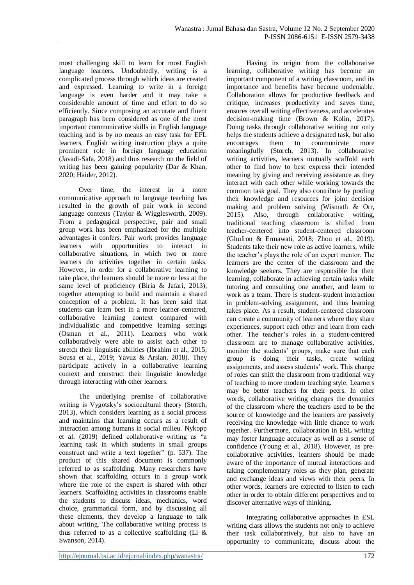most challenging skill to learn for most English language learners. Undoubtedly, writing is a complicated process through which ideas are created and expressed. Learning to write in a foreign language is even harder and it may take a considerable amount of time and effort to do so efficiently. Since composing an accurate and fluent paragraph has been considered as one of the most important communicative skills in English language teaching and is by no means an easy task for EFL learners, English writing instruction plays a quite prominent role in foreign language education (Javadi-Safa, 2018) and thus research on the field of writing has been gaining popularity (Dar & Khan, 2020; Haider, 2012).

Over time, the interest in a more communicative approach to language teaching has resulted in the growth of pair work in second language contexts (Taylor & Wigglesworth, 2009). From a pedagogical perspective, pair and small group work has been emphasized for the multiple advantages it confers. Pair work provides language learners with opportunities to interact in collaborative situations, in which two or more learners do activities together in certain tasks. However, in order for a collaborative learning to take place, the learners should be more or less at the same level of proficiency (Biria & Jafari, 2013), together attempting to build and maintain a shared conception of a problem. It has been said that students can learn best in a more learner-centered, collaborative learning context compared with individualistic and competitive learning settings (Osman et al., 2011). Learners who work collaboratively were able to assist each other to stretch their linguistic abilities (Ibrahim et al., 2015; Sousa et al., 2019; Yavuz & Arslan, 2018). They participate actively in a collaborative learning context and construct their linguistic knowledge through interacting with other learners.

The underlying premise of collaborative writing is Vygotsky's sociocultural theory (Storch, 2013), which considers learning as a social process and maintains that learning occurs as a result of interaction among humans in social milieu. Nykopp et al. (2019) defined collaborative writing as "a learning task in which students in small groups construct and write a text together" (p. 537). The product of this shared document is commonly referred to as scaffolding. Many researchers have shown that scaffolding occurs in a group work where the role of the expert is shared with other learners. Scaffolding activities in classrooms enable the students to discuss ideas, mechanics, word choice, grammatical form, and by discussing all these elements, they develop a language to talk about writing. The collaborative writing process is thus referred to as a collective scaffolding (Li  $\&$ Swanson, 2014).

Having its origin from the collaborative learning, collaborative writing has become an important component of a writing classroom, and its importance and benefits have become undeniable. Collaboration allows for productive feedback and critique, increases productivity and saves time, ensures overall writing effectiveness, and accelerates decision-making time (Brown & Kolin, 2017). Doing tasks through collaborative writing not only helps the students achieve a designated task, but also encourages them to communicate more meaningfully (Storch, 2013). In collaborative writing activities, learners mutually scaffold each other to find how to best express their intended meaning by giving and receiving assistance as they interact with each other while working towards the common task goal. They also contribute by pooling their knowledge and resources for joint decision making and problem solving (Wismath & Orr, 2015). Also, through collaborative writing, traditional teaching classroom is shifted from teacher-centered into student-centered classroom (Ghufron & Ermawati, 2018; Zhou et al., 2019). Students take their new role as active learners, while the teacher's plays the role of an expert mentor. The learners are the center of the classroom and the knowledge seekers. They are responsible for their learning, collaborate in achieving certain tasks while tutoring and consulting one another, and learn to work as a team. There is student-student interaction in problem-solving assignment, and thus learning takes place. As a result, student-centered classroom can create a community of learners where they share experiences, support each other and learn from each other. The teacher's roles in a student-centered classroom are to manage collaborative activities, monitor the students' groups, make sure that each group is doing their tasks, create writing assignments, and assess students' work. This change of roles can shift the classroom from traditional way of teaching to more modern teaching style. Learners may be better teachers for their peers. In other words, collaborative writing changes the dynamics of the classroom where the teachers used to be the source of knowledge and the learners are passively receiving the knowledge with little chance to work together. Furthermore, collaboration in ESL writing may foster language accuracy as well as a sense of confidence (Young et al., 2018). However, as precollaborative activities, learners should be made aware of the importance of mutual interactions and taking complementary roles as they plan, generate and exchange ideas and views with their peers. In other words, learners are expected to listen to each other in order to obtain different perspectives and to discover alternative ways of thinking.

Integrating collaborative approaches in ESL writing class allows the students not only to achieve their task collaboratively, but also to have an opportunity to communicate, discuss about the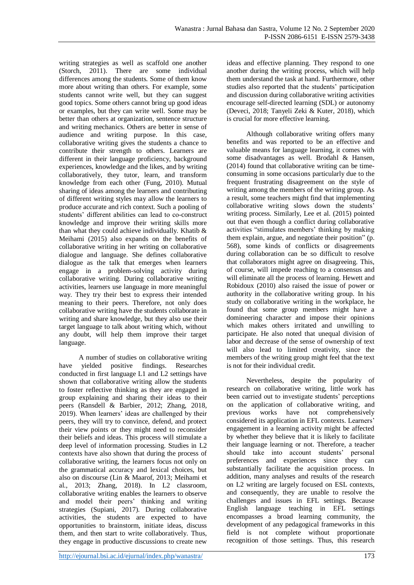writing strategies as well as scaffold one another (Storch, 2011). There are some individual differences among the students. Some of them know more about writing than others. For example, some students cannot write well, but they can suggest good topics. Some others cannot bring up good ideas or examples, but they can write well. Some may be better than others at organization, sentence structure and writing mechanics. Others are better in sense of audience and writing purpose. In this case, collaborative writing gives the students a chance to contribute their strength to others. Learners are different in their language proficiency, background experiences, knowledge and the likes, and by writing collaboratively, they tutor, learn, and transform knowledge from each other (Fung, 2010). Mutual sharing of ideas among the learners and contributing of different writing styles may allow the learners to produce accurate and rich context. Such a pooling of students' different abilities can lead to co-construct knowledge and improve their writing skills more than what they could achieve individually. Khatib & Meihami (2015) also expands on the benefits of collaborative writing in her writing on collaborative dialogue and language. She defines collaborative dialogue as the talk that emerges when learners engage in a problem-solving activity during collaborative writing. During collaborative writing activities, learners use language in more meaningful way. They try their best to express their intended meaning to their peers. Therefore, not only does collaborative writing have the students collaborate in writing and share knowledge, but they also use their target language to talk about writing which, without any doubt, will help them improve their target language.

A number of studies on collaborative writing have yielded positive findings. Researches conducted in first language L1 and L2 settings have shown that collaborative writing allow the students to foster reflective thinking as they are engaged in group explaining and sharing their ideas to their peers (Ransdell & Barbier, 2012; Zhang, 2018, 2019). When learners' ideas are challenged by their peers, they will try to convince, defend, and protect their view points or they might need to reconsider their beliefs and ideas. This process will stimulate a deep level of information processing. Studies in L2 contexts have also shown that during the process of collaborative writing, the learners focus not only on the grammatical accuracy and lexical choices, but also on discourse (Lin & Maarof, 2013; Meihami et al., 2013; Zhang, 2018). In L2 classroom, collaborative writing enables the learners to observe and model their peers' thinking and writing strategies (Supiani, 2017). During collaborative activities, the students are expected to have opportunities to brainstorm, initiate ideas, discuss them, and then start to write collaboratively. Thus, they engage in productive discussions to create new

ideas and effective planning. They respond to one another during the writing process, which will help them understand the task at hand. Furthermore, other studies also reported that the students' participation and discussion during collaborative writing activities encourage self-directed learning (SDL) or autonomy (Deveci, 2018; Tanyeli Zeki & Kuter, 2018), which is crucial for more effective learning.

Although collaborative writing offers many benefits and was reported to be an effective and valuable means for language learning, it comes with some disadvantages as well. Brodahl & Hansen, (2014) found that collaborative writing can be timeconsuming in some occasions particularly due to the frequent frustrating disagreement on the style of writing among the members of the writing group. As a result, some teachers might find that implementing collaborative writing slows down the students' writing process. Similarly, Lee et al. (2015) pointed out that even though a conflict during collaborative activities "stimulates members' thinking by making them explain, argue, and negotiate their position" (p. 568), some kinds of conflicts or disagreements during collaboration can be so difficult to resolve that collaborators might agree on disagreeing. This, of course, will impede reaching to a consensus and will eliminate all the process of learning. Hewett and Robidoux (2010) also raised the issue of power or authority in the collaborative writing group. In his study on collaborative writing in the workplace, he found that some group members might have a domineering character and impose their opinions which makes others irritated and unwilling to participate. He also noted that unequal division of labor and decrease of the sense of ownership of text will also lead to limited creativity, since the members of the writing group might feel that the text is not for their individual credit.

Nevertheless, despite the popularity of research on collaborative writing, little work has been carried out to investigate students' perceptions on the application of collaborative writing, and previous works have not comprehensively considered its application in EFL contexts. Learners' engagement in a learning activity might be affected by whether they believe that it is likely to facilitate their language learning or not. Therefore, a teacher should take into account students' personal preferences and experiences since they can substantially facilitate the acquisition process. In addition, many analyses and results of the research on L2 writing are largely focused on ESL contexts, and consequently, they are unable to resolve the challenges and issues in EFL settings. Because English language teaching in EFL settings encompasses a broad learning community, the development of any pedagogical frameworks in this field is not complete without proportionate recognition of those settings. Thus, this research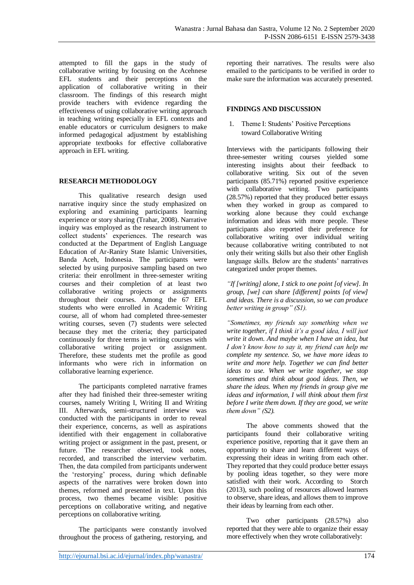attempted to fill the gaps in the study of collaborative writing by focusing on the Acehnese EFL students and their perceptions on the application of collaborative writing in their classroom. The findings of this research might provide teachers with evidence regarding the effectiveness of using collaborative writing approach in teaching writing especially in EFL contexts and enable educators or curriculum designers to make informed pedagogical adjustment by establishing appropriate textbooks for effective collaborative approach in EFL writing.

## **RESEARCH METHODOLOGY**

This qualitative research design used narrative inquiry since the study emphasized on exploring and examining participants learning experience or story sharing (Trahar, 2008). Narrative inquiry was employed as the research instrument to collect students' experiences. The research was conducted at the Department of English Language Education of Ar-Raniry State Islamic Universities, Banda Aceh, Indonesia. The participants were selected by using purposive sampling based on two criteria: their enrollment in three-semester writing courses and their completion of at least two collaborative writing projects or assignments throughout their courses. Among the 67 EFL students who were enrolled in Academic Writing course, all of whom had completed three-semester writing courses, seven (7) students were selected because they met the criteria; they participated continuously for three terms in writing courses with collaborative writing project or assignment. Therefore, these students met the profile as good informants who were rich in information on collaborative learning experience.

The participants completed narrative frames after they had finished their three-semester writing courses, namely Writing I, Writing II and Writing III. Afterwards, semi-structured interview was conducted with the participants in order to reveal their experience, concerns, as well as aspirations identified with their engagement in collaborative writing project or assignment in the past, present, or future. The researcher observed, took notes, recorded, and transcribed the interview verbatim. Then, the data compiled from participants underwent the 'restorying' process, during which definable aspects of the narratives were broken down into themes, reformed and presented in text. Upon this process, two themes became visible: positive perceptions on collaborative writing, and negative perceptions on collaborative writing.

The participants were constantly involved throughout the process of gathering, restorying, and reporting their narratives. The results were also emailed to the participants to be verified in order to make sure the information was accurately presented.

## **FINDINGS AND DISCUSSION**

1. Theme I: Students' Positive Perceptions toward Collaborative Writing

Interviews with the participants following their three-semester writing courses yielded some interesting insights about their feedback to collaborative writing. Six out of the seven participants (85.71%) reported positive experience with collaborative writing. Two participants (28.57%) reported that they produced better essays when they worked in group as compared to working alone because they could exchange information and ideas with more people. These participants also reported their preference for collaborative writing over individual writing because collaborative writing contributed to not only their writing skills but also their other English language skills. Below are the students' narratives categorized under proper themes.

*"If [writing] alone, I stick to one point [of view]. In group, [we] can share [different] points [of view] and ideas. There is a discussion, so we can produce better writing in group" (S1).* 

*"Sometimes, my friends say something when we write together, if I think it's a good idea, I will just write it down. And maybe when I have an idea, but I don't know how to say it, my friend can help me complete my sentence. So, we have more ideas to write and more help. Together we can find better ideas to use. When we write together, we stop sometimes and think about good ideas. Then, we share the ideas. When my friends in group give me ideas and information, I will think about them first before I write them down. If they are good, we write them down" (S2).*

The above comments showed that the participants found their collaborative writing experience positive, reporting that it gave them an opportunity to share and learn different ways of expressing their ideas in writing from each other. They reported that they could produce better essays by pooling ideas together, so they were more satisfied with their work. According to Storch (2013), such pooling of resources allowed learners to observe, share ideas, and allows them to improve their ideas by learning from each other.

Two other participants (28.57%) also reported that they were able to organize their essay more effectively when they wrote collaboratively: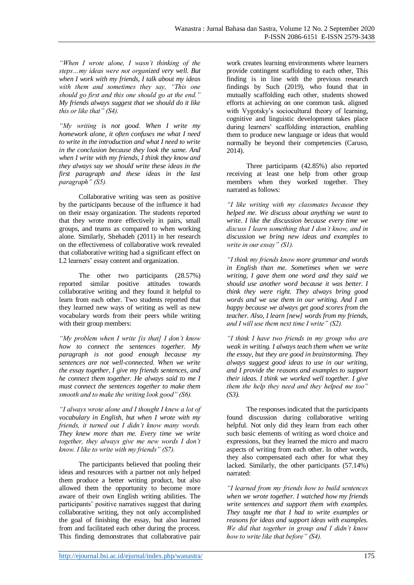*"When I wrote alone, I wasn't thinking of the steps…my ideas were not organized very well. But when I work with my friends, I talk about my ideas with them and sometimes they say, "This one should go first and this one should go at the end." My friends always suggest that we should do it like this or like that" (S4).*

*"My writing is not good. When I write my homework alone, it often confuses me what I need to write in the introduction and what I need to write in the conclusion because they look the same. And when I write with my friends, I think they know and they always say we should write these ideas in the first paragraph and these ideas in the last paragraph" (S5).*

Collaborative writing was seen as positive by the participants because of the influence it had on their essay organization. The students reported that they wrote more effectively in pairs, small groups, and teams as compared to when working alone. Similarly, Shehadeh (2011) in her research on the effectiveness of collaborative work revealed that collaborative writing had a significant effect on L2 learners' essay content and organization.

The other two participants (28.57%) reported similar positive attitudes towards collaborative writing and they found it helpful to learn from each other. Two students reported that they learned new ways of writing as well as new vocabulary words from their peers while writing with their group members:

*"My problem when I write [is that] I don't know how to connect the sentences together. My paragraph is not good enough because my sentences are not well-connected. When we write the essay together, I give my friends sentences, and he connect them together. He always said to me I must connect the sentences together to make them smooth and to make the writing look good" (S6).*

*"I always wrote alone and I thought I knew a lot of vocabulary in English, but when I wrote with my friends, it turned out I didn't know many words. They knew more than me. Every time we write together, they always give me new words I don't know. I like to write with my friends" (S7).*

The participants believed that pooling their ideas and resources with a partner not only helped them produce a better writing product, but also allowed them the opportunity to become more aware of their own English writing abilities. The participants' positive narratives suggest that during collaborative writing, they not only accomplished the goal of finishing the essay, but also learned from and facilitated each other during the process. This finding demonstrates that collaborative pair

work creates learning environments where learners provide contingent scaffolding to each other, This finding is in line with the previous research findings by Such (2019), who found that in mutually scaffolding each other, students showed efforts at achieving on one common task. aligned with Vygotsky's sociocultural theory of learning, cognitive and linguistic development takes place during learners' scaffolding interaction, enabling them to produce new language or ideas that would normally be beyond their competencies (Caruso, 2014).

Three participants (42.85%) also reported receiving at least one help from other group members when they worked together. They narrated as follows:

*"I like writing with my classmates because they helped me. We discuss about anything we want to write. I like the discussion because every time we discuss I learn something that I don't know, and in discussion we bring new ideas and examples to write in our essay" (S1).*

*"I think my friends know more grammar and words in English than me. Sometimes when we were writing, I gave them one word and they said we should use another word because it was better. I think they were right. They always bring good words and we use them in our writing. And I am happy because we always get good scores from the teacher. Also, I learn [new] words from my friends, and I will use them next time I write" (S2).*

*"I think I have two friends in my group who are weak in writing. I always teach them when we write the essay, but they are good in brainstorming. They always suggest good ideas to use in our writing, and I provide the reasons and examples to support their ideas. I think we worked well together. I give them the help they need and they helped me too" (S3).*

The responses indicated that the participants found discussion during collaborative writing helpful. Not only did they learn from each other such basic elements of writing as word choice and expressions, but they learned the micro and macro aspects of writing from each other. In other words, they also compensated each other for what they lacked. Similarly, the other participants (57.14%) narrated:

*"I learned from my friends how to build sentences when we wrote together. I watched how my friends write sentences and support them with examples. They taught me that I had to write examples or reasons for ideas and support ideas with examples. We did that together in group and I didn't know how to write like that before" (S4).*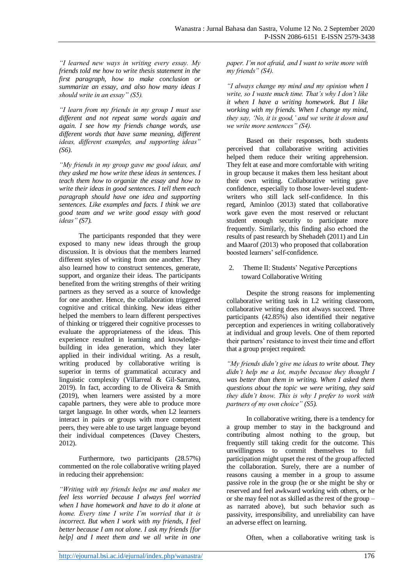*"I learned new ways in writing every essay. My friends told me how to write thesis statement in the first paragraph, how to make conclusion or summarize an essay, and also how many ideas I should write in an essay" (S5).*

*"I learn from my friends in my group I must use different and not repeat same words again and again. I see how my friends change words, use different words that have same meaning, different ideas, different examples, and supporting ideas" (S6).*

*"My friends in my group gave me good ideas, and they asked me how write these ideas in sentences. I teach them how to organize the essay and how to write their ideas in good sentences. I tell them each paragraph should have one idea and supporting sentences. Like examples and facts. I think we are good team and we write good essay with good ideas" (S7).*

The participants responded that they were exposed to many new ideas through the group discussion. It is obvious that the members learned different styles of writing from one another. They also learned how to construct sentences, generate, support, and organize their ideas. The participants benefited from the writing strengths of their writing partners as they served as a source of knowledge for one another. Hence, the collaboration triggered cognitive and critical thinking. New ideas either helped the members to learn different perspectives of thinking or triggered their cognitive processes to evaluate the appropriateness of the ideas. This experience resulted in learning and knowledgebuilding in idea generation, which they later applied in their individual writing. As a result, writing produced by collaborative writing is superior in terms of grammatical accuracy and linguistic complexity (Villarreal & Gil-Sarratea, 2019). In fact, according to de Oliveira & Smith (2019), when learners were assisted by a more capable partners, they were able to produce more target language. In other words, when L2 learners interact in pairs or groups with more competent peers, they were able to use target language beyond their individual competences (Davey Chesters, 2012).

Furthermore, two participants (28.57%) commented on the role collaborative writing played in reducing their apprehension:

*"Writing with my friends helps me and makes me feel less worried because I always feel worried when I have homework and have to do it alone at home. Every time I write I'm worried that it is incorrect. But when I work with my friends, I feel better because I am not alone. I ask my friends [for help] and I meet them and we all write in one* 

*paper. I'm not afraid, and I want to write more with my friends" (S4).*

*"I always change my mind and my opinion when I write, so I waste much time. That's why I don't like it when I have a writing homework. But I like working with my friends. When I change my mind, they say, 'No, it is good,' and we write it down and we write more sentences" (S4).*

Based on their responses, both students perceived that collaborative writing activities helped them reduce their writing apprehension. They felt at ease and more comfortable with writing in group because it makes them less hesitant about their own writing. Collaborative writing gave confidence, especially to those lower-level studentwriters who still lack self-confidence. In this regard, Aminloo (2013) stated that collaborative work gave even the most reserved or reluctant student enough security to participate more frequently. Similarly, this finding also echoed the results of past research by Shehadeh (2011) and Lin and Maarof (2013) who proposed that collaboration boosted learners' self-confidence.

2. Theme II: Students' Negative Perceptions toward Collaborative Writing

Despite the strong reasons for implementing collaborative writing task in L2 writing classroom, collaborative writing does not always succeed. Three participants (42.85%) also identified their negative perception and experiences in writing collaboratively at individual and group levels. One of them reported their partners' resistance to invest their time and effort that a group project required:

*"My friends didn't give me ideas to write about. They didn't help me a lot, maybe because they thought I was better than them in writing. When I asked them questions about the topic we were writing, they said they didn't know. This is why I prefer to work with partners of my own choice" (S5).*

In collaborative writing, there is a tendency for a group member to stay in the background and contributing almost nothing to the group, but frequently still taking credit for the outcome. This unwillingness to commit themselves to full participation might upset the rest of the group affected the collaboration. Surely, there are a number of reasons causing a member in a group to assume passive role in the group (he or she might be shy or reserved and feel awkward working with others, or he or she may feel not as skilled as the rest of the group – as narrated above), but such behavior such as passivity, irresponsibility, and unreliability can have an adverse effect on learning.

Often, when a collaborative writing task is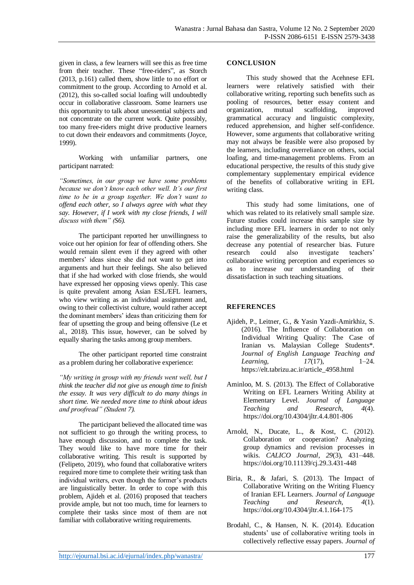given in class, a few learners will see this as free time from their teacher. These "free-riders", as Storch (2013, p.161) called them, show little to no effort or commitment to the group. According to Arnold et al. (2012), this so-called social loafing will undoubtedly occur in collaborative classroom. Some learners use this opportunity to talk about unessential subjects and not concentrate on the current work. Quite possibly, too many free-riders might drive productive learners to cut down their endeavors and commitments (Joyce, 1999).

Working with unfamiliar partners, one participant narrated:

*"Sometimes, in our group we have some problems because we don't know each other well. It's our first time to be in a group together. We don't want to offend each other, so I always agree with what they say. However, if I work with my close friends, I will discuss with them" (S6).*

The participant reported her unwillingness to voice out her opinion for fear of offending others. She would remain silent even if they agreed with other members' ideas since she did not want to get into arguments and hurt their feelings. She also believed that if she had worked with close friends, she would have expressed her opposing views openly. This case is quite prevalent among Asian ESL/EFL learners, who view writing as an individual assignment and, owing to their collectivist culture, would rather accept the dominant members' ideas than criticizing them for fear of upsetting the group and being offensive (Le et al., 2018). This issue, however, can be solved by equally sharing the tasks among group members.

The other participant reported time constraint as a problem during her collaborative experience:

*"My writing in group with my friends went well, but I think the teacher did not give us enough time to finish the essay. It was very difficult to do many things in short time. We needed more time to think about ideas and proofread" (Student 7).*

The participant believed the allocated time was not sufficient to go through the writing process, to have enough discussion, and to complete the task. They would like to have more time for their collaborative writing. This result is supported by (Felipeto, 2019), who found that collaborative writers required more time to complete their writing task than individual writers, even though the former's products are linguistically better. In order to cope with this problem, Ajideh et al. (2016) proposed that teachers provide ample, but not too much, time for learners to complete their tasks since most of them are not familiar with collaborative writing requirements.

#### **CONCLUSION**

This study showed that the Acehnese EFL learners were relatively satisfied with their collaborative writing, reporting such benefits such as pooling of resources, better essay content and organization, mutual scaffolding, improved grammatical accuracy and linguistic complexity, reduced apprehension, and higher self-confidence. However, some arguments that collaborative writing may not always be feasible were also proposed by the learners, including overreliance on others, social loafing, and time-management problems. From an educational perspective, the results of this study give complementary supplementary empirical evidence of the benefits of collaborative writing in EFL writing class.

This study had some limitations, one of which was related to its relatively small sample size. Future studies could increase this sample size by including more EFL learners in order to not only raise the generalizability of the results, but also decrease any potential of researcher bias. Future research could also investigate teachers' collaborative writing perception and experiences so as to increase our understanding of their dissatisfaction in such teaching situations.

## **REFERENCES**

- Ajideh, P., Leitner, G., & Yasin Yazdi-Amirkhiz, S. (2016). The Influence of Collaboration on Individual Writing Quality: The Case of Iranian vs. Malaysian College Students\*. *Journal of English Language Teaching and Learning*, *17*(17), 1–24. https://elt.tabrizu.ac.ir/article\_4958.html
- Aminloo, M. S. (2013). The Effect of Collaborative Writing on EFL Learners Writing Ability at Elementary Level. *Journal of Language Teaching and Research*, *4*(4). https://doi.org/10.4304/jltr.4.4.801-806
- Arnold, N., Ducate, L., & Kost, C. (2012). Collaboration or cooperation? Analyzing group dynamics and revision processes in wikis. *CALICO Journal*, *29*(3), 431–448. https://doi.org/10.11139/cj.29.3.431-448
- Biria, R., & Jafari, S. (2013). The Impact of Collaborative Writing on the Writing Fluency of Iranian EFL Learners. *Journal of Language Teaching and Research*, *4*(1). https://doi.org/10.4304/jltr.4.1.164-175
- Brodahl, C., & Hansen, N. K. (2014). Education students' use of collaborative writing tools in collectively reflective essay papers. *Journal of*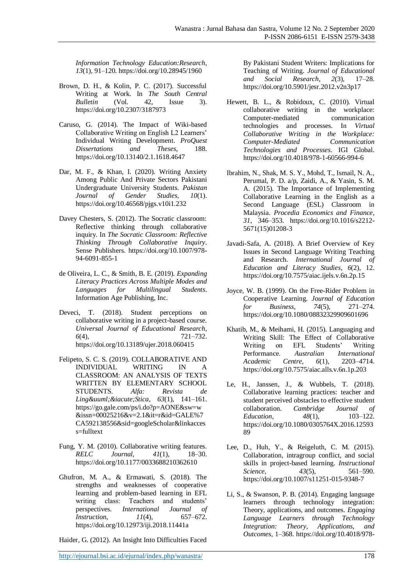*Information Technology Education:Research*, *13*(1), 91–120. https://doi.org/10.28945/1960

- Brown, D. H., & Kolin, P. C. (2017). Successful Writing at Work. In *The South Central Bulletin* (Vol. 42, Issue 3). https://doi.org/10.2307/3187973
- Caruso, G. (2014). The Impact of Wiki-based Collaborative Writing on English L2 Learners' Individual Writing Development. *ProQuest Dissertations and Theses*, 188. https://doi.org/10.13140/2.1.1618.4647
- Dar, M. F., & Khan, I. (2020). Writing Anxiety Among Public And Private Sectors Pakistani Undergraduate University Students. *Pakistan Journal of Gender Studies*, *10*(1). https://doi.org/10.46568/pjgs.v10i1.232
- Davey Chesters, S. (2012). The Socratic classroom: Reflective thinking through collaborative inquiry. In *The Socratic Classroom: Reflective Thinking Through Collaborative Inquiry*. Sense Publishers. https://doi.org/10.1007/978- 94-6091-855-1
- de Oliveira, L. C., & Smith, B. E. (2019). *Expanding Literacy Practices Across Multiple Modes and Languages for Multilingual Students*. Information Age Publishing, Inc.
- Deveci, T. (2018). Student perceptions on collaborative writing in a project-based course. *Universal Journal of Educational Research*, *6*(4), 721–732. https://doi.org/10.13189/ujer.2018.060415
- Felipeto, S. C. S. (2019). COLLABORATIVE AND INDIVIDUAL WRITING IN A CLASSROOM: AN ANALYSIS OF TEXTS WRITTEN BY ELEMENTARY SCHOOL STUDENTS. *Alfa: Revista de LingüíStica, 63(1), 141-161.* https://go.gale.com/ps/i.do?p=AONE&sw=w &issn=00025216&v=2.1&it=r&id=GALE%7 CA592138556&sid=googleScholar&linkacces s=fulltext
- Fung, Y. M. (2010). Collaborative writing features. *RELC Journal*, *41*(1), 18–30. https://doi.org/10.1177/0033688210362610
- Ghufron, M. A., & Ermawati, S. (2018). The strengths and weaknesses of cooperative learning and problem-based learning in EFL writing class: Teachers and students' perspectives. *International Journal of Instruction*, *11*(4), 657–672. https://doi.org/10.12973/iji.2018.11441a

Haider, G. (2012). An Insight Into Difficulties Faced

http://ejournal.bsi.ac.id/ejurnal/index.php/wanastra/ 178

By Pakistani Student Writers: Implications for Teaching of Writing. *Journal of Educational and Social Research*, *2*(3), 17–28. https://doi.org/10.5901/jesr.2012.v2n3p17

- Hewett, B. L., & Robidoux, C. (2010). Virtual collaborative writing in the workplace: Computer-mediated technologies and processes. In *Virtual Collaborative Writing in the Workplace: Computer-Mediated Communication Technologies and Processes*. IGI Global. https://doi.org/10.4018/978-1-60566-994-6
- Ibrahim, N., Shak, M. S. Y., Mohd, T., Ismail, N. A., Perumal, P. D. a/p, Zaidi, A., & Yasin, S. M. A. (2015). The Importance of Implementing Collaborative Learning in the English as a Second Language (ESL) Classroom in Malaysia. *Procedia Economics and Finance*, *31*, 346–353. https://doi.org/10.1016/s2212- 5671(15)01208-3
- Javadi-Safa, A. (2018). A Brief Overview of Key Issues in Second Language Writing Teaching and Research. *International Journal of Education and Literacy Studies*, *6*(2), 12. https://doi.org/10.7575/aiac.ijels.v.6n.2p.15
- Joyce, W. B. (1999). On the Free-Rider Problem in Cooperative Learning. *Journal of Education for Business*, *74*(5), 271–274. https://doi.org/10.1080/08832329909601696
- Khatib, M., & Meihami, H. (2015). Languaging and Writing Skill: The Effect of Collaborative Writing on EFL Students' Writing Performance. *Australian International Academic Centre*, *6*(1), 2203–4714. https://doi.org/10.7575/aiac.alls.v.6n.1p.203
- Le, H., Janssen, J., & Wubbels, T. (2018). Collaborative learning practices: teacher and student perceived obstacles to effective student<br>collaboration. Cambridge Journal of collaboration. *Cambridge Journal of Education*, *48*(1), 103–122. https://doi.org/10.1080/0305764X.2016.12593 89
- Lee, D., Huh, Y., & Reigeluth, C. M. (2015). Collaboration, intragroup conflict, and social skills in project-based learning. *Instructional Science*, *43*(5), 561–590. https://doi.org/10.1007/s11251-015-9348-7
- Li, S., & Swanson, P. B. (2014). Engaging language learners through technology integration: Theory, applications, and outcomes. *Engaging Language Learners through Technology Integration: Theory, Applications, and Outcomes*, 1–368. https://doi.org/10.4018/978-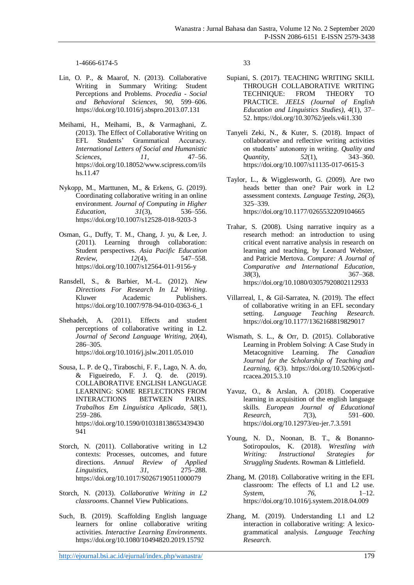1-4666-6174-5

- Lin, O. P., & Maarof, N. (2013). Collaborative Writing in Summary Writing: Student Perceptions and Problems. *Procedia - Social and Behavioral Sciences*, *90*, 599–606. https://doi.org/10.1016/j.sbspro.2013.07.131
- Meihami, H., Meihami, B., & Varmaghani, Z. (2013). The Effect of Collaborative Writing on EFL Students' Grammatical Accuracy. *International Letters of Social and Humanistic Sciences*, *11*, 47–56. https://doi.org/10.18052/www.scipress.com/ils hs.11.47
- Nykopp, M., Marttunen, M., & Erkens, G. (2019). Coordinating collaborative writing in an online environment. *Journal of Computing in Higher Education*, *31(3)*, https://doi.org/10.1007/s12528-018-9203-3
- Osman, G., Duffy, T. M., Chang, J. yu, & Lee, J. (2011). Learning through collaboration: Student perspectives. *Asia Pacific Education Review*, *12*(4), 547–558. https://doi.org/10.1007/s12564-011-9156-y
- Ransdell, S., & Barbier, M.-L. (2012). *New Directions For Research In L2 Writing*. Kluwer Academic Publishers. https://doi.org/10.1007/978-94-010-0363-6\_1
- Shehadeh, A. (2011). Effects and student perceptions of collaborative writing in L2. *Journal of Second Language Writing*, *20*(4), 286–305. https://doi.org/10.1016/j.jslw.2011.05.010
- Sousa, L. P. de Q., Tiraboschi, F. F., Lago, N. A. do, & Figueiredo, F. J. Q. de. (2019). COLLABORATIVE ENGLISH LANGUAGE LEARNING: SOME REFLECTIONS FROM INTERACTIONS BETWEEN PAIRS. *Trabalhos Em Linguística Aplicada*, *58*(1), 259–286. https://doi.org/10.1590/010318138653439430 941
- Storch, N. (2011). Collaborative writing in L2 contexts: Processes, outcomes, and future directions. *Annual Review of Applied Linguistics*, *31*, 275–288. https://doi.org/10.1017/S0267190511000079
- Storch, N. (2013). *Collaborative Writing in L2 classrooms*. Channel View Publications.
- Such, B. (2019). Scaffolding English language learners for online collaborative writing activities. *Interactive Learning Environments*. https://doi.org/10.1080/10494820.2019.15792

33

- Supiani, S. (2017). TEACHING WRITING SKILL THROUGH COLLABORATIVE WRITING TECHNIQUE: FROM THEORY TO PRACTICE. *JEELS (Journal of English Education and Linguistics Studies)*, *4*(1), 37– 52. https://doi.org/10.30762/jeels.v4i1.330
- Tanyeli Zeki, N., & Kuter, S. (2018). Impact of collaborative and reflective writing activities on students' autonomy in writing. *Quality and Quantity*, *52*(1), 343–360. https://doi.org/10.1007/s11135-017-0615-3
- Taylor, L., & Wigglesworth, G. (2009). Are two heads better than one? Pair work in L2 assessment contexts. *Language Testing*, *26*(3), 325–339. https://doi.org/10.1177/0265532209104665
- Trahar, S. (2008). Using narrative inquiry as a research method: an introduction to using critical event narrative analysis in research on learning and teaching, by Leonard Webster, and Patricie Mertova. *Compare: A Journal of Comparative and International Education*, *38*(3), 367–368. https://doi.org/10.1080/03057920802112933
- Villarreal, I., & Gil-Sarratea, N. (2019). The effect of collaborative writing in an EFL secondary setting. *Language Teaching Research*. https://doi.org/10.1177/1362168819829017
- Wismath, S. L., & Orr, D. (2015). Collaborative Learning in Problem Solving: A Case Study in Metacognitive Learning. *The Canadian Journal for the Scholarship of Teaching and Learning*, *6*(3). https://doi.org/10.5206/cjsotlrcacea.2015.3.10
- Yavuz, O., & Arslan, A. (2018). Cooperative learning in acquisition of the english language skills. *European Journal of Educational Research*, *7*(3), 591–600. https://doi.org/10.12973/eu-jer.7.3.591
- Young, N. D., Noonan, B. T., & Bonanno-Sotiropoulos, K. (2018). *Wrestling with Writing: Instructional Strategies for Struggling Students*. Rowman & Littlefield.
- Zhang, M. (2018). Collaborative writing in the EFL classroom: The effects of L1 and L2 use. *System*, *76*, 1–12. https://doi.org/10.1016/j.system.2018.04.009
- Zhang, M. (2019). Understanding L1 and L2 interaction in collaborative writing: A lexicogrammatical analysis. *Language Teaching Research*.